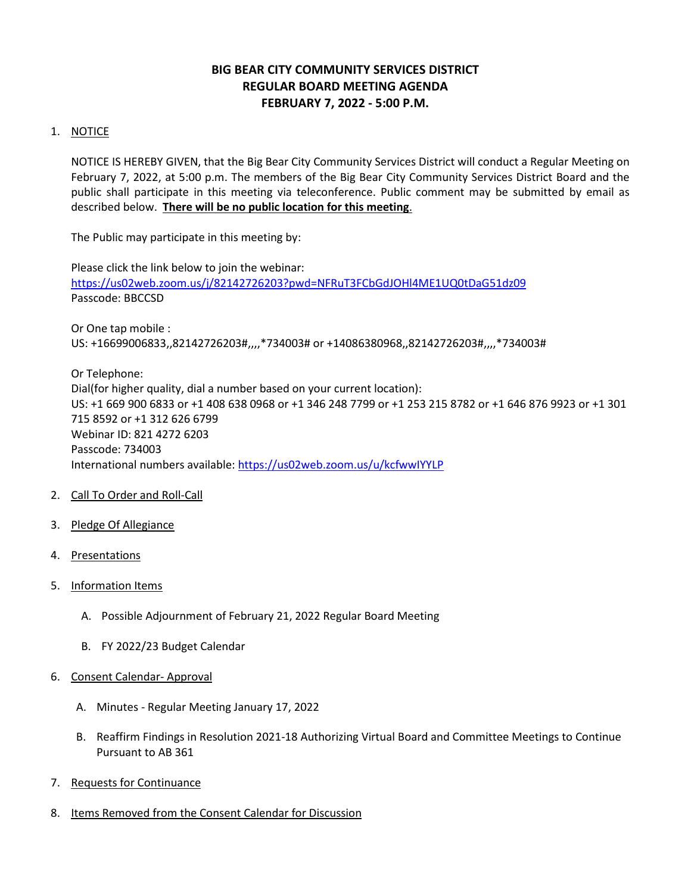# **BIG BEAR CITY COMMUNITY SERVICES DISTRICT REGULAR BOARD MEETING AGENDA FEBRUARY 7, 2022 - 5:00 P.M.**

# 1. NOTICE

NOTICE IS HEREBY GIVEN, that the Big Bear City Community Services District will conduct a Regular Meeting on February 7, 2022, at 5:00 p.m. The members of the Big Bear City Community Services District Board and the public shall participate in this meeting via teleconference. Public comment may be submitted by email as described below. **There will be no public location for this meeting**.

The Public may participate in this meeting by:

Please click the link below to join the webinar: <https://us02web.zoom.us/j/82142726203?pwd=NFRuT3FCbGdJOHl4ME1UQ0tDaG51dz09> Passcode: BBCCSD

Or One tap mobile : US: +16699006833,,82142726203#,,,,\*734003# or +14086380968,,82142726203#,,,,\*734003#

Or Telephone: Dial(for higher quality, dial a number based on your current location): US: +1 669 900 6833 or +1 408 638 0968 or +1 346 248 7799 or +1 253 215 8782 or +1 646 876 9923 or +1 301 715 8592 or +1 312 626 6799 Webinar ID: 821 4272 6203 Passcode: 734003 International numbers available:<https://us02web.zoom.us/u/kcfwwIYYLP>

- 2. Call To Order and Roll-Call
- 3. Pledge Of Allegiance
- 4. Presentations
- 5. Information Items
	- A. Possible Adjournment of February 21, 2022 Regular Board Meeting
	- B. FY 2022/23 Budget Calendar
- 6. Consent Calendar- Approval
	- A. Minutes Regular Meeting January 17, 2022
	- B. Reaffirm Findings in Resolution 2021-18 Authorizing Virtual Board and Committee Meetings to Continue Pursuant to AB 361
- 7. Requests for Continuance
- 8. Items Removed from the Consent Calendar for Discussion